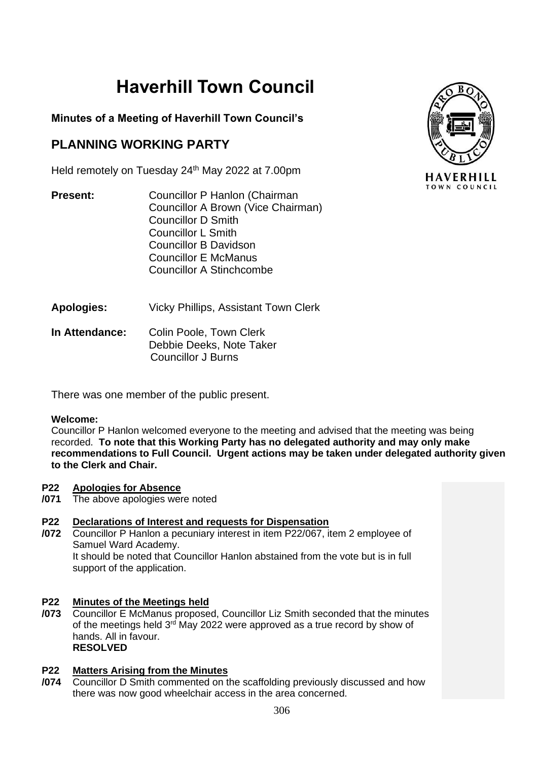# **Haverhill Town Council**

### **Minutes of a Meeting of Haverhill Town Council's**

# **PLANNING WORKING PARTY**

Held remotely on Tuesday 24<sup>th</sup> May 2022 at 7.00pm

- **Present:** Councillor P Hanlon (Chairman Councillor A Brown (Vice Chairman) Councillor D Smith Councillor L Smith Councillor B Davidson Councillor E McManus Councillor A Stinchcombe
- **Apologies:** Vicky Phillips, Assistant Town Clerk
- **In Attendance:** Colin Poole, Town Clerk Debbie Deeks, Note Taker Councillor J Burns

There was one member of the public present.

### **Welcome:**

Councillor P Hanlon welcomed everyone to the meeting and advised that the meeting was being recorded. **To note that this Working Party has no delegated authority and may only make recommendations to Full Council. Urgent actions may be taken under delegated authority given to the Clerk and Chair.**

#### **P22 Apologies for Absence**

**/071** The above apologies were noted

#### **P22 Declarations of Interest and requests for Dispensation**

**/072** Councillor P Hanlon a pecuniary interest in item P22/067, item 2 employee of Samuel Ward Academy. It should be noted that Councillor Hanlon abstained from the vote but is in full support of the application.

#### **P22 Minutes of the Meetings held**

**/073** Councillor E McManus proposed, Councillor Liz Smith seconded that the minutes of the meetings held  $3<sup>rd</sup>$  May 2022 were approved as a true record by show of hands. All in favour. **RESOLVED**

#### **P22 Matters Arising from the Minutes**

**/074** Councillor D Smith commented on the scaffolding previously discussed and how there was now good wheelchair access in the area concerned.

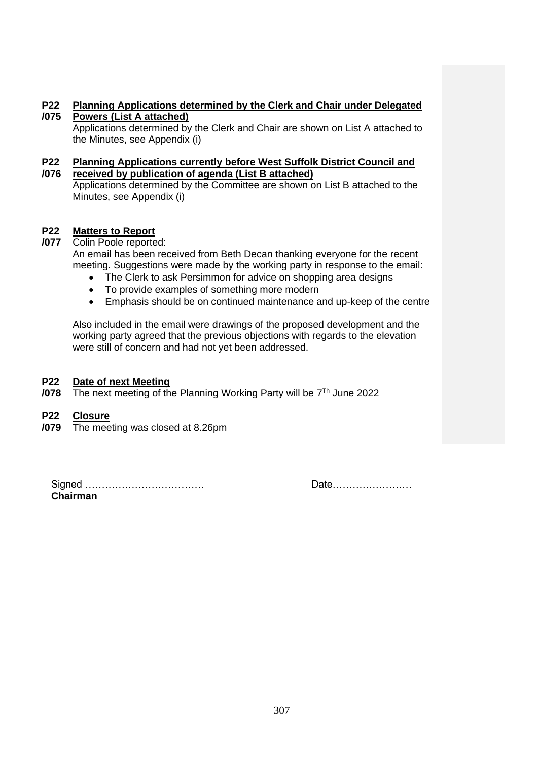#### **P22 /075 Planning Applications determined by the Clerk and Chair under Delegated Powers (List A attached)**

Applications determined by the Clerk and Chair are shown on List A attached to the Minutes, see Appendix (i)

#### **P22 /076 Planning Applications currently before West Suffolk District Council and received by publication of agenda (List B attached)**

Applications determined by the Committee are shown on List B attached to the Minutes, see Appendix (i)

#### **P22 Matters to Report**

- **/077** Colin Poole reported: An email has been received from Beth Decan thanking everyone for the recent meeting. Suggestions were made by the working party in response to the email:
	- The Clerk to ask Persimmon for advice on shopping area designs
	- To provide examples of something more modern
	- Emphasis should be on continued maintenance and up-keep of the centre

Also included in the email were drawings of the proposed development and the working party agreed that the previous objections with regards to the elevation were still of concern and had not yet been addressed.

#### **P22 Date of next Meeting**

**/078** The next meeting of the Planning Working Party will be 7 Th June 2022

#### **P22 Closure**

**/079** The meeting was closed at 8.26pm

Signed ……………………………… Date…………………… **Chairman**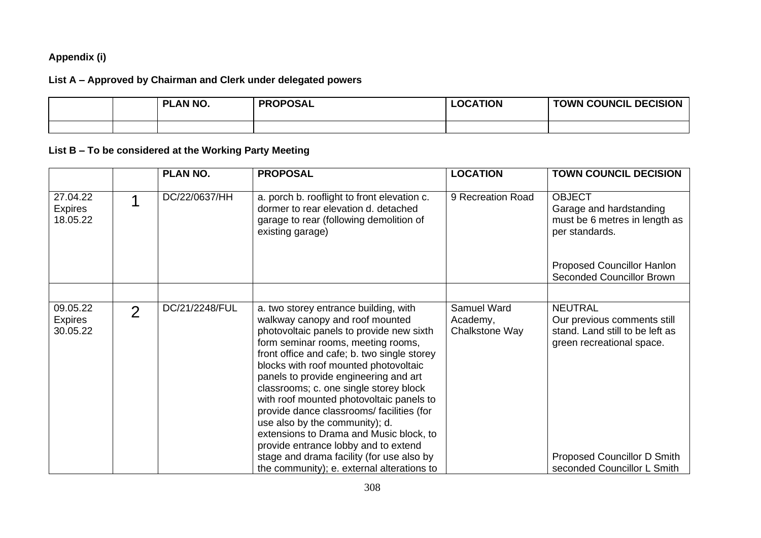### **Appendix (i)**

### **List A – Approved by Chairman and Clerk under delegated powers**

|  | <b>PLAN NO.</b> | <b>PROPOSAL</b> | LOCATION | <b>TOWN COUNCIL DECISION</b> |
|--|-----------------|-----------------|----------|------------------------------|
|  |                 |                 |          |                              |

# **List B – To be considered at the Working Party Meeting**

|                                        |                | <b>PLAN NO.</b> | <b>PROPOSAL</b>                                                                                                                                                                                                                                                                                                                                                                                                                                                                                                                                                                                                                                | <b>LOCATION</b>                           | <b>TOWN COUNCIL DECISION</b>                                                                                                                                                |
|----------------------------------------|----------------|-----------------|------------------------------------------------------------------------------------------------------------------------------------------------------------------------------------------------------------------------------------------------------------------------------------------------------------------------------------------------------------------------------------------------------------------------------------------------------------------------------------------------------------------------------------------------------------------------------------------------------------------------------------------------|-------------------------------------------|-----------------------------------------------------------------------------------------------------------------------------------------------------------------------------|
| 27.04.22<br><b>Expires</b><br>18.05.22 |                | DC/22/0637/HH   | a. porch b. rooflight to front elevation c.<br>dormer to rear elevation d. detached<br>garage to rear (following demolition of<br>existing garage)                                                                                                                                                                                                                                                                                                                                                                                                                                                                                             | 9 Recreation Road                         | <b>OBJECT</b><br>Garage and hardstanding<br>must be 6 metres in length as<br>per standards.                                                                                 |
|                                        |                |                 |                                                                                                                                                                                                                                                                                                                                                                                                                                                                                                                                                                                                                                                |                                           | Proposed Councillor Hanlon<br><b>Seconded Councillor Brown</b>                                                                                                              |
| 09.05.22<br><b>Expires</b><br>30.05.22 | $\overline{2}$ | DC/21/2248/FUL  | a. two storey entrance building, with<br>walkway canopy and roof mounted<br>photovoltaic panels to provide new sixth<br>form seminar rooms, meeting rooms,<br>front office and cafe; b. two single storey<br>blocks with roof mounted photovoltaic<br>panels to provide engineering and art<br>classrooms; c. one single storey block<br>with roof mounted photovoltaic panels to<br>provide dance classrooms/ facilities (for<br>use also by the community); d.<br>extensions to Drama and Music block, to<br>provide entrance lobby and to extend<br>stage and drama facility (for use also by<br>the community); e. external alterations to | Samuel Ward<br>Academy,<br>Chalkstone Way | <b>NEUTRAL</b><br>Our previous comments still<br>stand. Land still to be left as<br>green recreational space.<br>Proposed Councillor D Smith<br>seconded Councillor L Smith |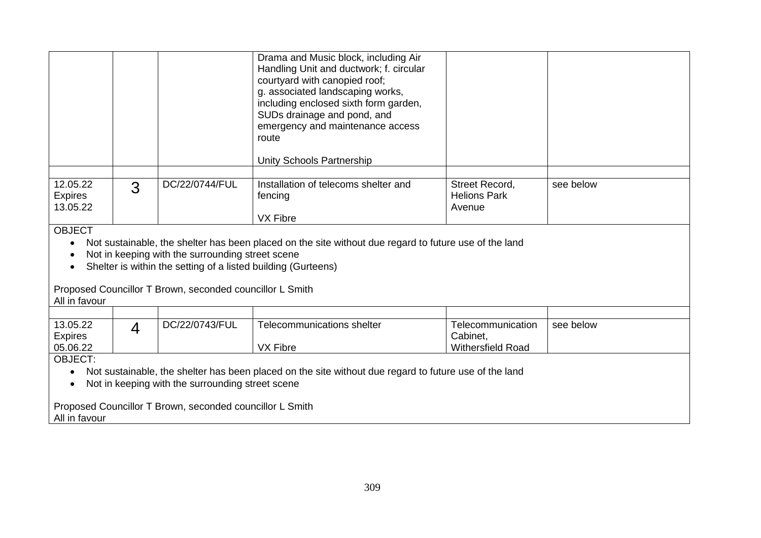|                                        |   |                | Drama and Music block, including Air<br>Handling Unit and ductwork; f. circular<br>courtyard with canopied roof;<br>g. associated landscaping works,<br>including enclosed sixth form garden,<br>SUDs drainage and pond, and<br>emergency and maintenance access<br>route<br>Unity Schools Partnership |                                                 |           |
|----------------------------------------|---|----------------|--------------------------------------------------------------------------------------------------------------------------------------------------------------------------------------------------------------------------------------------------------------------------------------------------------|-------------------------------------------------|-----------|
| 12.05.22<br><b>Expires</b><br>13.05.22 | 3 | DC/22/0744/FUL | Installation of telecoms shelter and<br>fencing<br><b>VX Fibre</b>                                                                                                                                                                                                                                     | Street Record,<br><b>Helions Park</b><br>Avenue | see below |

**OBJECT** 

- Not sustainable, the shelter has been placed on the site without due regard to future use of the land
- Not in keeping with the surrounding street scene
- Shelter is within the setting of a listed building (Gurteens)

# Proposed Councillor T Brown, seconded councillor L Smith

### All in favour

| 13.05.22       | DC/22/0743/FUL | Telecommunications shelter | Telecommunication        | see below |
|----------------|----------------|----------------------------|--------------------------|-----------|
| <b>Expires</b> |                |                            | Cabinet.                 |           |
| 05.06.22       |                | <b>VX Fibre</b>            | <b>Withersfield Road</b> |           |
|                |                |                            |                          |           |

OBJECT:

- Not sustainable, the shelter has been placed on the site without due regard to future use of the land
- Not in keeping with the surrounding street scene

Proposed Councillor T Brown, seconded councillor L Smith All in favour